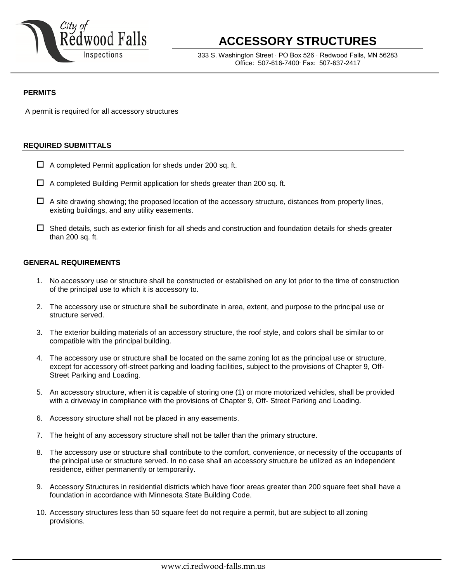

# **ACCESSORY STRUCTURES**

333 S. Washington Street ∙ PO Box 526 ∙ Redwood Falls, MN 56283 Office: 507-616-7400∙ Fax: 507-637-2417

#### **PERMITS**

A permit is required for all accessory structures

#### **REQUIRED SUBMITTALS**

- $\Box$  A completed Permit application for sheds under 200 sq. ft.
- $\Box$  A completed Building Permit application for sheds greater than 200 sq. ft.
- $\Box$  A site drawing showing; the proposed location of the accessory structure, distances from property lines, existing buildings, and any utility easements.
- $\Box$  Shed details, such as exterior finish for all sheds and construction and foundation details for sheds greater than 200 sq. ft.

## **GENERAL REQUIREMENTS**

- 1. No accessory use or structure shall be constructed or established on any lot prior to the time of construction of the principal use to which it is accessory to.
- 2. The accessory use or structure shall be subordinate in area, extent, and purpose to the principal use or structure served.
- 3. The exterior building materials of an accessory structure, the roof style, and colors shall be similar to or compatible with the principal building.
- 4. The accessory use or structure shall be located on the same zoning lot as the principal use or structure, except for accessory off-street parking and loading facilities, subject to the provisions of Chapter 9, Off-Street Parking and Loading.
- 5. An accessory structure, when it is capable of storing one (1) or more motorized vehicles, shall be provided with a driveway in compliance with the provisions of Chapter 9, Off- Street Parking and Loading.
- 6. Accessory structure shall not be placed in any easements.
- 7. The height of any accessory structure shall not be taller than the primary structure.
- 8. The accessory use or structure shall contribute to the comfort, convenience, or necessity of the occupants of the principal use or structure served. In no case shall an accessory structure be utilized as an independent residence, either permanently or temporarily.
- 9. Accessory Structures in residential districts which have floor areas greater than 200 square feet shall have a foundation in accordance with Minnesota State Building Code.
- 10. Accessory structures less than 50 square feet do not require a permit, but are subject to all zoning provisions.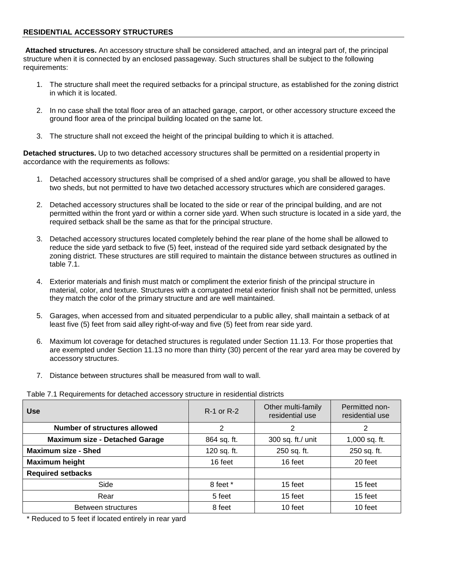### **RESIDENTIAL ACCESSORY STRUCTURES**

**Attached structures.** An accessory structure shall be considered attached, and an integral part of, the principal structure when it is connected by an enclosed passageway. Such structures shall be subject to the following requirements:

- 1. The structure shall meet the required setbacks for a principal structure, as established for the zoning district in which it is located.
- 2. In no case shall the total floor area of an attached garage, carport, or other accessory structure exceed the ground floor area of the principal building located on the same lot.
- 3. The structure shall not exceed the height of the principal building to which it is attached.

**Detached structures.** Up to two detached accessory structures shall be permitted on a residential property in accordance with the requirements as follows:

- 1. Detached accessory structures shall be comprised of a shed and/or garage, you shall be allowed to have two sheds, but not permitted to have two detached accessory structures which are considered garages.
- 2. Detached accessory structures shall be located to the side or rear of the principal building, and are not permitted within the front yard or within a corner side yard. When such structure is located in a side yard, the required setback shall be the same as that for the principal structure.
- 3. Detached accessory structures located completely behind the rear plane of the home shall be allowed to reduce the side yard setback to five (5) feet, instead of the required side yard setback designated by the zoning district. These structures are still required to maintain the distance between structures as outlined in table 7.1.
- 4. Exterior materials and finish must match or compliment the exterior finish of the principal structure in material, color, and texture. Structures with a corrugated metal exterior finish shall not be permitted, unless they match the color of the primary structure and are well maintained.
- 5. Garages, when accessed from and situated perpendicular to a public alley, shall maintain a setback of at least five (5) feet from said alley right-of-way and five (5) feet from rear side yard.
- 6. Maximum lot coverage for detached structures is regulated under Section 11.13. For those properties that are exempted under Section 11.13 no more than thirty (30) percent of the rear yard area may be covered by accessory structures.
- 7. Distance between structures shall be measured from wall to wall.

Table 7.1 Requirements for detached accessory structure in residential districts

| <b>Use</b>                            | <b>R-1 or R-2</b> | Other multi-family<br>residential use | Permitted non-<br>residential use |
|---------------------------------------|-------------------|---------------------------------------|-----------------------------------|
| <b>Number of structures allowed</b>   | 2                 | 2                                     | 2                                 |
| <b>Maximum size - Detached Garage</b> | 864 sq. ft.       | 300 sq. ft./ unit                     | 1,000 sq. ft.                     |
| <b>Maximum size - Shed</b>            | 120 sq. ft.       | 250 sq. ft.                           | 250 sq. ft.                       |
| <b>Maximum height</b>                 | 16 feet           | 16 feet                               | 20 feet                           |
| <b>Required setbacks</b>              |                   |                                       |                                   |
| Side                                  | 8 feet *          | 15 feet                               | 15 feet                           |
| Rear                                  | 5 feet            | 15 feet                               | 15 feet                           |
| Between structures                    | 8 feet            | 10 feet                               | 10 feet                           |

\* Reduced to 5 feet if located entirely in rear yard